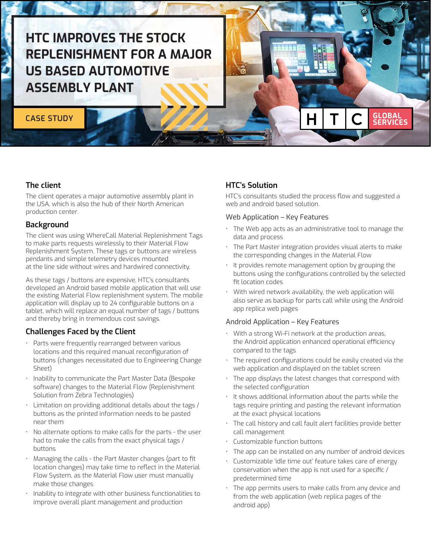# HTC IMPROVES THE STOCK REPLENISHMENT FOR A MAJOR US BASED AUTOMOTIVE ASSEMBLY PLANT

# **CASE STUDY**

# The client

The client operates a major automotive assembly plant in the USA, which is also the hub of their North American production center.

### **Background**

The client was using WhereCall Material Replenishment Tags to make parts requests wirelessly to their Material Flow Replenishment System. These tags or buttons are wireless pendants and simple telemetry devices mounted at the line side without wires and hardwired connectivity.

As these tags / buttons are expensive, HTC's consultants developed an Android based mobile application that will use the existing Material Flow replenishment system. The mobile application will display up to 24 configurable buttons on a tablet, which will replace an equal number of tags / buttons and thereby bring in tremendous cost savings.

# Challenges Faced by the Client

- Parts were frequently rearranged between various locations and this required manual reconfiguration of buttons (changes necessitated due to Engineering Change Sheet)
- Inability to communicate the Part Master Data (Bespoke software) changes to the Material Flow (Replenishment Solution from Zebra Technologies)
- Limitation on providing additional details about the tags / buttons as the printed information needs to be pasted near them
- No alternate options to make calls for the parts the user had to make the calls from the exact physical tags / buttons
- Managing the calls the Part Master changes (part to fit location changes) may take time to reflect in the Material Flow System, as the Material Flow user must manually make those changes
- Inability to integrate with other business functionalities to improve overall plant management and production

# HTC's Solution

HTC's consultants studied the process flow and suggested a web and android based solution.

**GLOBAL<br>SERVICES** 

#### Web Application – Key Features

- The Web app acts as an administrative tool to manage the data and process
- The Part Master integration provides visual alerts to make the corresponding changes in the Material Flow
- It provides remote management option by grouping the buttons using the configurations controlled by the selected fit location codes
- With wired network availability, the web application will also serve as backup for parts call while using the Android app replica web pages

#### Android Application – Key Features

- With a strong Wi-Fi network at the production areas, the Android application enhanced operational efficiency compared to the tags
- The required configurations could be easily created via the web application and displayed on the tablet screen
- The app displays the latest changes that correspond with the selected configuration
- It shows additional information about the parts while the tags require printing and pasting the relevant information at the exact physical locations
- The call history and call fault alert facilities provide better call management
- Customizable function buttons
- The app can be installed on any number of android devices
- Customizable 'idle time out' feature takes care of energy conservation when the app is not used for a specific / predetermined time
- The app permits users to make calls from any device and from the web application (web replica pages of the android app)